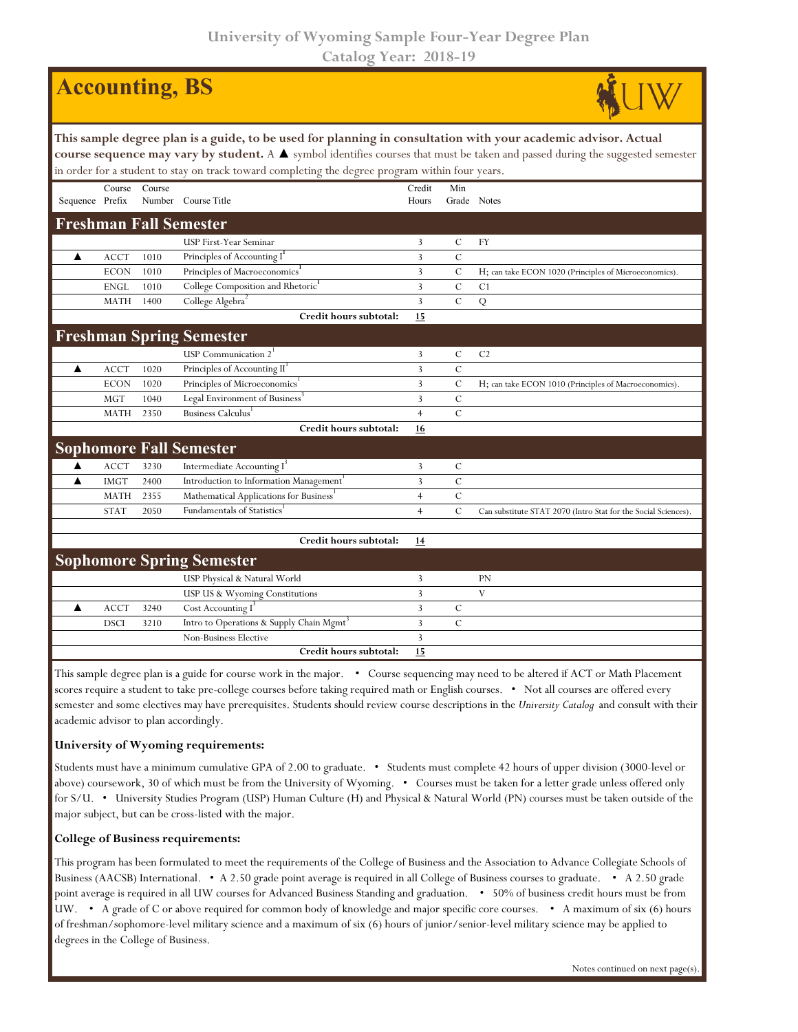## **Accounting, BS**



|                                 |             |        | This sample degree plan is a guide, to be used for planning in consultation with your academic advisor. Actual<br>course sequence may vary by student. A ▲ symbol identifies courses that must be taken and passed during the suggested semester<br>in order for a student to stay on track toward completing the degree program within four years. |                 |                    |                                                                |  |  |  |
|---------------------------------|-------------|--------|-----------------------------------------------------------------------------------------------------------------------------------------------------------------------------------------------------------------------------------------------------------------------------------------------------------------------------------------------------|-----------------|--------------------|----------------------------------------------------------------|--|--|--|
| Sequence Prefix                 | Course      | Course | Number Course Title                                                                                                                                                                                                                                                                                                                                 | Credit<br>Hours | Min<br>Grade Notes |                                                                |  |  |  |
| <b>Freshman Fall Semester</b>   |             |        |                                                                                                                                                                                                                                                                                                                                                     |                 |                    |                                                                |  |  |  |
|                                 |             |        | USP First-Year Seminar                                                                                                                                                                                                                                                                                                                              | 3               | $\mathsf{C}$       | <b>FY</b>                                                      |  |  |  |
| ▲                               | <b>ACCT</b> | 1010   | Principles of Accounting I                                                                                                                                                                                                                                                                                                                          | 3               | $\overline{C}$     |                                                                |  |  |  |
|                                 | <b>ECON</b> | 1010   | Principles of Macroeconomics <sup>1</sup>                                                                                                                                                                                                                                                                                                           | 3               | $\mathcal{C}$      | H; can take ECON 1020 (Principles of Microeconomics).          |  |  |  |
|                                 | <b>ENGL</b> | 1010   | College Composition and Rhetoric <sup>1</sup>                                                                                                                                                                                                                                                                                                       | 3               | $\mathcal{C}$      | C1                                                             |  |  |  |
|                                 | <b>MATH</b> | 1400   | College Algebra <sup>2</sup>                                                                                                                                                                                                                                                                                                                        | 3               | $\mathcal{C}$      | Q                                                              |  |  |  |
|                                 |             |        | Credit hours subtotal:                                                                                                                                                                                                                                                                                                                              | 15              |                    |                                                                |  |  |  |
| <b>Freshman Spring Semester</b> |             |        |                                                                                                                                                                                                                                                                                                                                                     |                 |                    |                                                                |  |  |  |
|                                 |             |        | USP Communication 2                                                                                                                                                                                                                                                                                                                                 | 3               | $\mathbf C$        | C <sub>2</sub>                                                 |  |  |  |
| ▲                               | <b>ACCT</b> | 1020   | Principles of Accounting II <sup>1</sup>                                                                                                                                                                                                                                                                                                            | 3               | $\mathcal{C}$      |                                                                |  |  |  |
|                                 | <b>ECON</b> | 1020   | Principles of Microeconomics <sup>1</sup>                                                                                                                                                                                                                                                                                                           | 3               | $\mathcal{C}$      | H; can take ECON 1010 (Principles of Macroeconomics).          |  |  |  |
|                                 | <b>MGT</b>  | 1040   | Legal Environment of Business <sup>3</sup>                                                                                                                                                                                                                                                                                                          | 3               | $\overline{C}$     |                                                                |  |  |  |
|                                 | <b>MATH</b> | 2350   | Business Calculus <sup>1</sup>                                                                                                                                                                                                                                                                                                                      | $\overline{4}$  | $\mathcal{C}$      |                                                                |  |  |  |
|                                 |             |        | Credit hours subtotal:                                                                                                                                                                                                                                                                                                                              | 16              |                    |                                                                |  |  |  |
| <b>Sophomore Fall Semester</b>  |             |        |                                                                                                                                                                                                                                                                                                                                                     |                 |                    |                                                                |  |  |  |
| ▲                               | <b>ACCT</b> | 3230   | Intermediate Accounting I <sup>3</sup>                                                                                                                                                                                                                                                                                                              | 3               | $\mathbf C$        |                                                                |  |  |  |
| ▲                               | <b>IMGT</b> | 2400   | Introduction to Information Management <sup>1</sup>                                                                                                                                                                                                                                                                                                 | 3               | $\overline{C}$     |                                                                |  |  |  |
|                                 | <b>MATH</b> | 2355   | Mathematical Applications for Business <sup>1</sup>                                                                                                                                                                                                                                                                                                 | $\overline{4}$  | $\overline{C}$     |                                                                |  |  |  |
|                                 | <b>STAT</b> | 2050   | <b>Fundamentals of Statistics</b>                                                                                                                                                                                                                                                                                                                   | $\overline{4}$  | $\mathsf{C}$       | Can substitute STAT 2070 (Intro Stat for the Social Sciences). |  |  |  |
|                                 |             |        |                                                                                                                                                                                                                                                                                                                                                     |                 |                    |                                                                |  |  |  |
|                                 |             |        | Credit hours subtotal:                                                                                                                                                                                                                                                                                                                              | 14              |                    |                                                                |  |  |  |
|                                 |             |        | <b>Sophomore Spring Semester</b>                                                                                                                                                                                                                                                                                                                    |                 |                    |                                                                |  |  |  |
|                                 |             |        | USP Physical & Natural World                                                                                                                                                                                                                                                                                                                        | 3               |                    | PN                                                             |  |  |  |
|                                 |             |        | USP US & Wyoming Constitutions                                                                                                                                                                                                                                                                                                                      | 3               |                    | V                                                              |  |  |  |
| ▲                               | <b>ACCT</b> | 3240   | Cost Accounting $I^3$                                                                                                                                                                                                                                                                                                                               | 3               | $\mathsf{C}$       |                                                                |  |  |  |
|                                 | <b>DSCI</b> | 3210   | Intro to Operations & Supply Chain Mgmt <sup>3</sup>                                                                                                                                                                                                                                                                                                | 3               | $\mathsf{C}$       |                                                                |  |  |  |
|                                 |             |        | Non-Business Elective                                                                                                                                                                                                                                                                                                                               | 3               |                    |                                                                |  |  |  |
|                                 |             |        | Credit hours subtotal:                                                                                                                                                                                                                                                                                                                              | 15              |                    |                                                                |  |  |  |

This sample degree plan is a guide for course work in the major. • Course sequencing may need to be altered if ACT or Math Placement scores require a student to take pre-college courses before taking required math or English courses. • Not all courses are offered every semester and some electives may have prerequisites. Students should review course descriptions in the *University Catalog* and consult with their academic advisor to plan accordingly.

## **University of Wyoming requirements:**

Students must have a minimum cumulative GPA of 2.00 to graduate. • Students must complete 42 hours of upper division (3000-level or above) coursework, 30 of which must be from the University of Wyoming. • Courses must be taken for a letter grade unless offered only for S/U. • University Studies Program (USP) Human Culture (H) and Physical & Natural World (PN) courses must be taken outside of the major subject, but can be cross-listed with the major.

## **College of Business requirements:**

This program has been formulated to meet the requirements of the College of Business and the Association to Advance Collegiate Schools of Business (AACSB) International. • A 2.50 grade point average is required in all College of Business courses to graduate. • A 2.50 grade point average is required in all UW courses for Advanced Business Standing and graduation. • 50% of business credit hours must be from UW. • A grade of C or above required for common body of knowledge and major specific core courses. • A maximum of six (6) hours of freshman/sophomore-level military science and a maximum of six (6) hours of junior/senior-level military science may be applied to degrees in the College of Business.